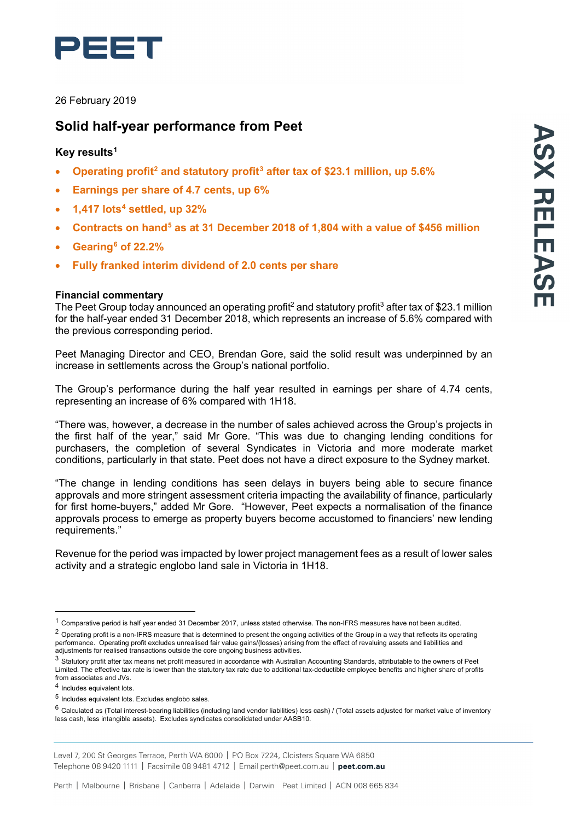

26 February 2019

# **Solid half-year performance from Peet**

# **Key results[1](#page-0-0)**

- **Operating profit[2](#page-0-1) and statutory profit[3](#page-0-2) after tax of \$23.1 million, up 5.6%**
- **Earnings per share of 4.7 cents, up 6%**
- **1,417 lots[4](#page-0-3) settled, up 32%**
- **Contracts on hand[5](#page-0-4) as at 31 December 2018 of 1,804 with a value of \$456 million**
- **Gearing[6](#page-0-5) of 22.2%**
- **Fully franked interim dividend of 2.0 cents per share**

## **Financial commentary**

The Peet Group today announced an operating profit<sup>2</sup> and statutory profit<sup>3</sup> after tax of \$23.1 million for the half-year ended 31 December 2018, which represents an increase of 5.6% compared with the previous corresponding period.

Peet Managing Director and CEO, Brendan Gore, said the solid result was underpinned by an increase in settlements across the Group's national portfolio.

The Group's performance during the half year resulted in earnings per share of 4.74 cents, representing an increase of 6% compared with 1H18.

"There was, however, a decrease in the number of sales achieved across the Group's projects in the first half of the year," said Mr Gore. "This was due to changing lending conditions for purchasers, the completion of several Syndicates in Victoria and more moderate market conditions, particularly in that state. Peet does not have a direct exposure to the Sydney market.

"The change in lending conditions has seen delays in buyers being able to secure finance approvals and more stringent assessment criteria impacting the availability of finance, particularly for first home-buyers," added Mr Gore. "However, Peet expects a normalisation of the finance approvals process to emerge as property buyers become accustomed to financiers' new lending requirements."

Revenue for the period was impacted by lower project management fees as a result of lower sales activity and a strategic englobo land sale in Victoria in 1H18.

<span id="page-0-0"></span> $1$  Comparative period is half year ended 31 December 2017, unless stated otherwise. The non-IFRS measures have not been audited.

<span id="page-0-1"></span><sup>&</sup>lt;sup>2</sup> Operating profit is a non-IFRS measure that is determined to present the ongoing activities of the Group in a way that reflects its operating performance. Operating profit excludes unrealised fair value gains/(losses) arising from the effect of revaluing assets and liabilities and adjustments for realised transactions outside the core ongoing business activities.

<span id="page-0-2"></span><sup>3</sup> Statutory profit after tax means net profit measured in accordance with Australian Accounting Standards, attributable to the owners of Peet Limited. The effective tax rate is lower than the statutory tax rate due to additional tax-deductible employee benefits and higher share of profits from associates and JVs.

<span id="page-0-3"></span><sup>4</sup> Includes equivalent lots.

<span id="page-0-4"></span><sup>5</sup> Includes equivalent lots. Excludes englobo sales.

<span id="page-0-5"></span> $6$  Calculated as (Total interest-bearing liabilities (including land vendor liabilities) less cash) / (Total assets adjusted for market value of inventory less cash, less intangible assets). Excludes syndicates consolidated under AASB10.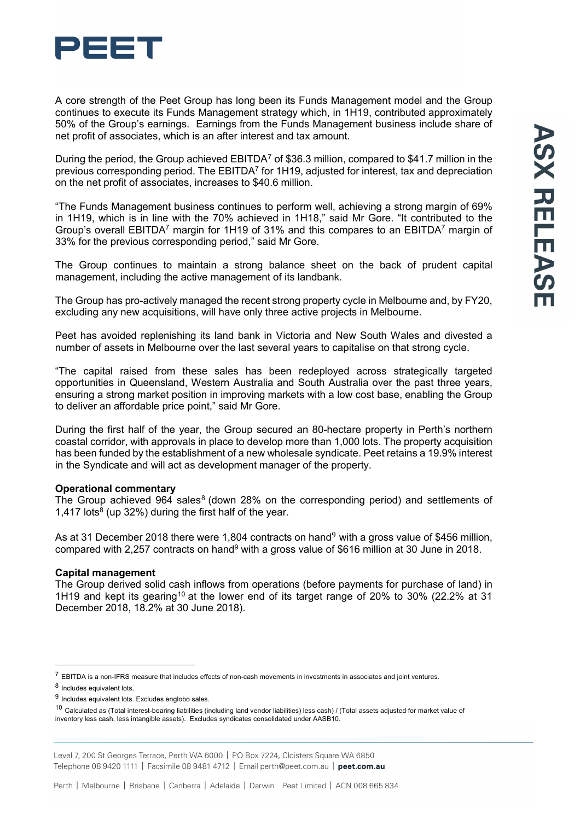

A core strength of the Peet Group has long been its Funds Management model and the Group continues to execute its Funds Management strategy which, in 1H19, contributed approximately 50% of the Group's earnings. Earnings from the Funds Management business include share of net profit of associates, which is an after interest and tax amount.

During the period, the Group achieved EBITDA[7](#page-1-0) of \$36.3 million, compared to \$41.7 million in the previous corresponding period. The EBITDA<sup>7</sup> for 1H19, adjusted for interest, tax and depreciation on the net profit of associates, increases to \$40.6 million.

"The Funds Management business continues to perform well, achieving a strong margin of 69% in 1H19, which is in line with the 70% achieved in 1H18," said Mr Gore. "It contributed to the Group's overall EBITDA<sup>7</sup> margin for 1H19 of 31% and this compares to an EBITDA<sup>7</sup> margin of 33% for the previous corresponding period," said Mr Gore.

The Group continues to maintain a strong balance sheet on the back of prudent capital management, including the active management of its landbank.

The Group has pro-actively managed the recent strong property cycle in Melbourne and, by FY20, excluding any new acquisitions, will have only three active projects in Melbourne.

Peet has avoided replenishing its land bank in Victoria and New South Wales and divested a number of assets in Melbourne over the last several years to capitalise on that strong cycle.

"The capital raised from these sales has been redeployed across strategically targeted opportunities in Queensland, Western Australia and South Australia over the past three years, ensuring a strong market position in improving markets with a low cost base, enabling the Group to deliver an affordable price point," said Mr Gore.

During the first half of the year, the Group secured an 80-hectare property in Perth's northern coastal corridor, with approvals in place to develop more than 1,000 lots. The property acquisition has been funded by the establishment of a new wholesale syndicate. Peet retains a 19.9% interest in the Syndicate and will act as development manager of the property.

## **Operational commentary**

The Group achieved 964 sales<sup>[8](#page-1-1)</sup> (down 28% on the corresponding period) and settlements of 1,417 lots<sup>8</sup> (up 32%) during the first half of the year.

As at 31 December 2018 there were 1,804 contracts on hand<sup>[9](#page-1-2)</sup> with a gross value of \$456 million, compared with 2,257 contracts on hand<sup>9</sup> with a gross value of \$616 million at 30 June in 2018.

## **Capital management**

The Group derived solid cash inflows from operations (before payments for purchase of land) in 1H19 and kept its gearing<sup>[10](#page-1-3)</sup> at the lower end of its target range of 20% to 30% (22.2% at 31 December 2018, 18.2% at 30 June 2018).

<span id="page-1-0"></span> $7$  EBITDA is a non-IFRS measure that includes effects of non-cash movements in investments in associates and joint ventures.

<span id="page-1-1"></span><sup>8</sup> Includes equivalent lots.

<span id="page-1-2"></span><sup>9</sup> Includes equivalent lots. Excludes englobo sales.

<span id="page-1-3"></span><sup>10</sup> Calculated as (Total interest-bearing liabilities (including land vendor liabilities) less cash) / (Total assets adjusted for market value of inventory less cash, less intangible assets). Excludes syndicates consolidated under AASB10.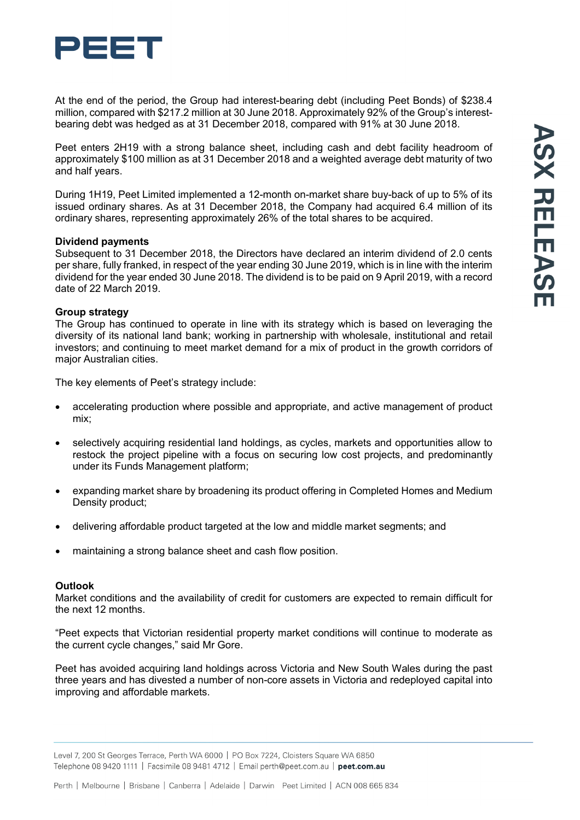

At the end of the period, the Group had interest-bearing debt (including Peet Bonds) of \$238.4 million, compared with \$217.2 million at 30 June 2018. Approximately 92% of the Group's interestbearing debt was hedged as at 31 December 2018, compared with 91% at 30 June 2018.

Peet enters 2H19 with a strong balance sheet, including cash and debt facility headroom of approximately \$100 million as at 31 December 2018 and a weighted average debt maturity of two and half years.

During 1H19, Peet Limited implemented a 12-month on-market share buy-back of up to 5% of its issued ordinary shares. As at 31 December 2018, the Company had acquired 6.4 million of its ordinary shares, representing approximately 26% of the total shares to be acquired.

#### **Dividend payments**

Subsequent to 31 December 2018, the Directors have declared an interim dividend of 2.0 cents per share, fully franked, in respect of the year ending 30 June 2019, which is in line with the interim dividend for the year ended 30 June 2018. The dividend is to be paid on 9 April 2019, with a record date of 22 March 2019.

## **Group strategy**

The Group has continued to operate in line with its strategy which is based on leveraging the diversity of its national land bank; working in partnership with wholesale, institutional and retail investors; and continuing to meet market demand for a mix of product in the growth corridors of major Australian cities.

The key elements of Peet's strategy include:

- accelerating production where possible and appropriate, and active management of product mix;
- selectively acquiring residential land holdings, as cycles, markets and opportunities allow to restock the project pipeline with a focus on securing low cost projects, and predominantly under its Funds Management platform;
- expanding market share by broadening its product offering in Completed Homes and Medium Density product;
- delivering affordable product targeted at the low and middle market segments; and
- maintaining a strong balance sheet and cash flow position.

#### **Outlook**

Market conditions and the availability of credit for customers are expected to remain difficult for the next 12 months.

"Peet expects that Victorian residential property market conditions will continue to moderate as the current cycle changes," said Mr Gore.

Peet has avoided acquiring land holdings across Victoria and New South Wales during the past three years and has divested a number of non-core assets in Victoria and redeployed capital into improving and affordable markets.

Level 7, 200 St Georges Terrace, Perth WA 6000 | PO Box 7224, Cloisters Square WA 6850 Telephone 08 9420 1111 | Facsimile 08 9481 4712 | Email perth@peet.com.au | peet.com.au